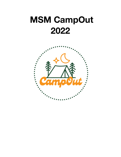# **MSM CampOut 2022**

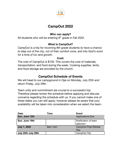

## **CampOut 2022**

#### **Who can apply?**

All students who will be entering  $8<sup>th</sup>$  grade in Fall 2022.

#### **What is CampOut?**

CampOut is a trip for incoming 8th grade students to have a chance to step out of the city, out of their comfort zone, and into God's word for a time of fun and growth.

#### **Cost:**

The cost of CampOut is \$150. This covers the cost of materials, transportation, and food during the week. Cooking supplies, tents, and food storage are provided by the church.

### **CampOut Schedule of Events**

We will head to our campground in Ojai on Monday, July 25th and return Friday, July 29th.

Team unity and commitment are crucial to a successful trip. Therefore please review the schedule before applying and discuss concerns regarding the schedule with us. If you cannot make one of these dates you can still apply; however please be aware that your availability will be taken into consideration when we select the team.

| <b>Date</b>         | Time    | <b>Event</b>            |
|---------------------|---------|-------------------------|
| Sun. June 12th      |         | <b>Applications Due</b> |
| Sun. June 19th      |         | Notification of team    |
|                     |         | selection               |
| <b>July 7, 2022</b> | 8am-1pm | CampOut Prep Retreat    |
|                     |         | Day                     |
| July 25th-July 29th |         | CampOut Trip            |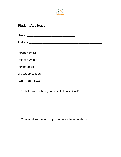

## **Student Application:**

| <u> Alexandria de la contenentación de la contenentación de la contenentación de la contenentación de la contenentación de la contenentación de la contenentación de la contenentación de la contenentación de la contenentación</u> |  |
|--------------------------------------------------------------------------------------------------------------------------------------------------------------------------------------------------------------------------------------|--|
|                                                                                                                                                                                                                                      |  |
|                                                                                                                                                                                                                                      |  |
|                                                                                                                                                                                                                                      |  |
|                                                                                                                                                                                                                                      |  |
| <b>Adult T-Shirt Size:</b>                                                                                                                                                                                                           |  |

1. Tell us about how you came to know Christ?

2. What does it mean to you to be a follower of Jesus?